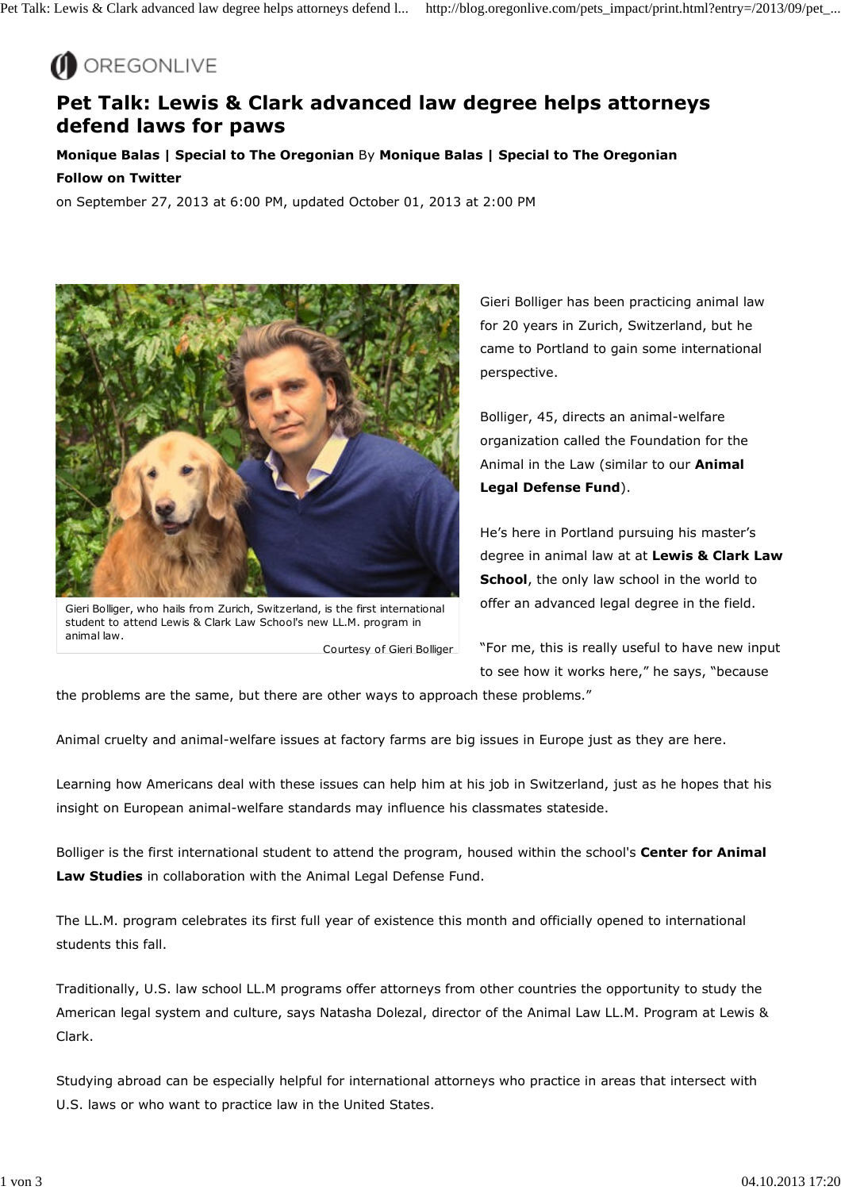

## **Pet Talk: Lewis & Clark advanced law degree helps attorneys defend laws for paws**

**Monique Balas | Special to The Oregonian** By **Monique Balas | Special to The Oregonian Follow on Twitter**

on September 27, 2013 at 6:00 PM, updated October 01, 2013 at 2:00 PM



Courtesy of Gieri Bolliger Gieri Bolliger, who hails from Zurich, Switzerland, is the first international student to attend Lewis & Clark Law School's new LL.M. program in animal law.

Gieri Bolliger has been practicing animal law for 20 years in Zurich, Switzerland, but he came to Portland to gain some international perspective.

Bolliger, 45, directs an animal-welfare organization called the Foundation for the Animal in the Law (similar to our **Animal Legal Defense Fund**).

He's here in Portland pursuing his master's degree in animal law at at **Lewis & Clark Law School**, the only law school in the world to offer an advanced legal degree in the field.

"For me, this is really useful to have new input to see how it works here," he says, "because

the problems are the same, but there are other ways to approach these problems."

Animal cruelty and animal-welfare issues at factory farms are big issues in Europe just as they are here.

Learning how Americans deal with these issues can help him at his job in Switzerland, just as he hopes that his insight on European animal-welfare standards may influence his classmates stateside.

Bolliger is the first international student to attend the program, housed within the school's **Center for Animal Law Studies** in collaboration with the Animal Legal Defense Fund.

The LL.M. program celebrates its first full year of existence this month and officially opened to international students this fall.

Traditionally, U.S. law school LL.M programs offer attorneys from other countries the opportunity to study the American legal system and culture, says Natasha Dolezal, director of the Animal Law LL.M. Program at Lewis & Clark.

Studying abroad can be especially helpful for international attorneys who practice in areas that intersect with U.S. laws or who want to practice law in the United States.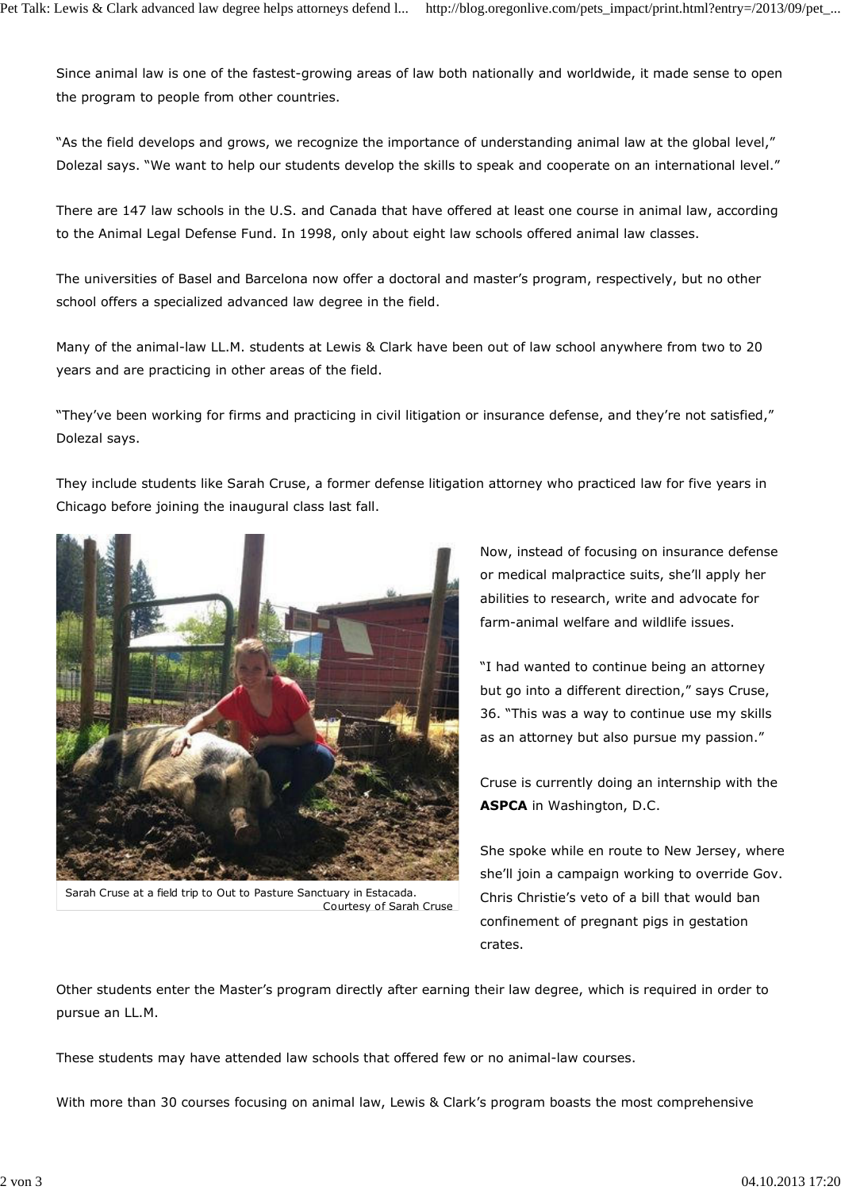Since animal law is one of the fastest-growing areas of law both nationally and worldwide, it made sense to open the program to people from other countries.

"As the field develops and grows, we recognize the importance of understanding animal law at the global level," Dolezal says. "We want to help our students develop the skills to speak and cooperate on an international level."

There are 147 law schools in the U.S. and Canada that have offered at least one course in animal law, according to the Animal Legal Defense Fund. In 1998, only about eight law schools offered animal law classes.

The universities of Basel and Barcelona now offer a doctoral and master's program, respectively, but no other school offers a specialized advanced law degree in the field.

Many of the animal-law LL.M. students at Lewis & Clark have been out of law school anywhere from two to 20 years and are practicing in other areas of the field.

"They've been working for firms and practicing in civil litigation or insurance defense, and they're not satisfied," Dolezal says.

They include students like Sarah Cruse, a former defense litigation attorney who practiced law for five years in Chicago before joining the inaugural class last fall.



Courtesy of Sarah Cruse Sarah Cruse at a field trip to Out to Pasture Sanctuary in Estacada.

Now, instead of focusing on insurance defense or medical malpractice suits, she'll apply her abilities to research, write and advocate for farm-animal welfare and wildlife issues.

"I had wanted to continue being an attorney but go into a different direction," says Cruse, 36. "This was a way to continue use my skills as an attorney but also pursue my passion."

Cruse is currently doing an internship with the **ASPCA** in Washington, D.C.

She spoke while en route to New Jersey, where she'll join a campaign working to override Gov. Chris Christie's veto of a bill that would ban confinement of pregnant pigs in gestation crates.

Other students enter the Master's program directly after earning their law degree, which is required in order to pursue an LL.M.

These students may have attended law schools that offered few or no animal-law courses.

With more than 30 courses focusing on animal law, Lewis & Clark's program boasts the most comprehensive